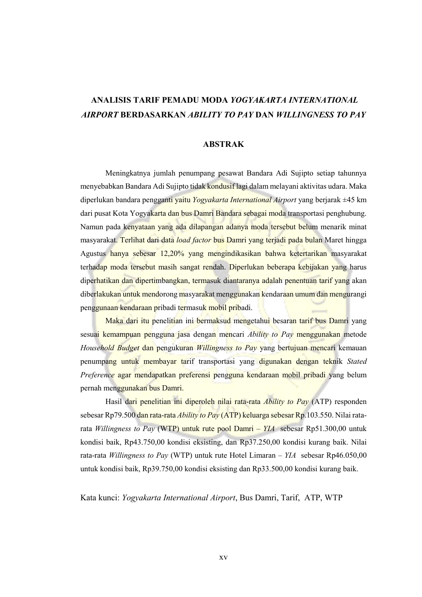## ANALISIS TARIF PEMADU MODA YOGYAKARTA INTERNATIONAL AIRPORT BERDASARKAN ABILITY TO PAY DAN WILLINGNESS TO PAY

## ABSTRAK

Meningkatnya jumlah penumpang pesawat Bandara Adi Sujipto setiap tahunnya menyebabkan Bandara Adi Sujipto tidak kondusif lagi dalam melayani aktivitas udara. Maka diperlukan bandara pengganti yaitu Yogyakarta International Airport yang berjarak  $\pm 45$  km dari pusat Kota Yogyakarta dan bus Damri Bandara sebagai moda transportasi penghubung. Namun pada kenyataan yang ada dilapangan adanya moda tersebut belum menarik minat masyarakat. Terlihat dari data load factor bus Damri yang terjadi pada bulan Maret hingga Agustus hanya sebesar 12,20% yang mengindikasikan bahwa ketertarikan masyarakat terhadap moda tersebut masih sangat rendah. Diperlukan beberapa kebijakan yang harus diperhatikan dan dipertimbangkan, termasuk diantaranya adalah penentuan tarif yang akan diberlakukan untuk mendorong masyarakat menggunakan kendaraan umum dan mengurangi penggunaan kendaraan pribadi termasuk mobil pribadi.

Maka dari itu penelitian ini bermaksud mengetahui besaran tarif bus Damri yang sesuai kemampuan pengguna jasa dengan mencari *Ability to Pay* menggunakan metode Household Budget dan pengukuran Willingness to Pay yang bertujuan mencari kemauan penumpang untuk membayar tarif transportasi yang digunakan dengan teknik Stated Preference agar mendapatkan preferensi pengguna kendaraan mobil pribadi yang belum pernah menggunakan bus Damri.

Hasil dari penelitian ini diperoleh nilai rata-rata Ability to Pay (ATP) responden sebesar Rp79.500 dan rata-rata Ability to Pay (ATP) keluarga sebesar Rp.103.550. Nilai ratarata Willingness to Pay (WTP) untuk rute pool Damri –  $YIA$  sebesar Rp51.300,00 untuk kondisi baik, Rp43.750,00 kondisi eksisting, dan Rp37.250,00 kondisi kurang baik. Nilai rata-rata Willingness to Pay (WTP) untuk rute Hotel Limaran –  $YIA$  sebesar Rp46.050,00 untuk kondisi baik, Rp39.750,00 kondisi eksisting dan Rp33.500,00 kondisi kurang baik.

Kata kunci: Yogyakarta International Airport, Bus Damri, Tarif, ATP, WTP